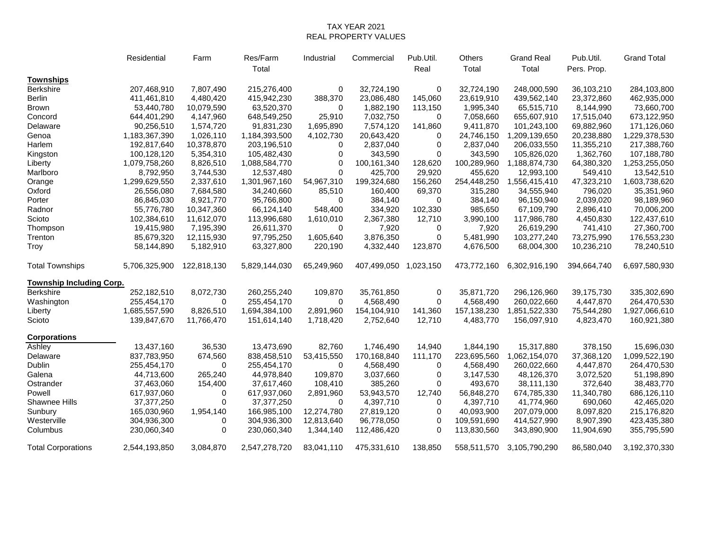## TAX YEAR 2021 REAL PROPERTY VALUES

|                                 | Residential   | Farm           | Res/Farm      | Industrial | Commercial            | Pub.Util.   | Others      | <b>Grand Real</b> | Pub.Util.   | <b>Grand Total</b> |
|---------------------------------|---------------|----------------|---------------|------------|-----------------------|-------------|-------------|-------------------|-------------|--------------------|
|                                 |               |                | Total         |            |                       | Real        | Total       | Total             | Pers. Prop. |                    |
| <b>Townships</b>                |               |                |               |            |                       |             |             |                   |             |                    |
| Berkshire                       | 207,468,910   | 7,807,490      | 215,276,400   | 0          | 32,724,190            | $\mathbf 0$ | 32,724,190  | 248,000,590       | 36,103,210  | 284,103,800        |
| <b>Berlin</b>                   | 411,461,810   | 4,480,420      | 415,942,230   | 388,370    | 23,086,480            | 145,060     | 23,619,910  | 439,562,140       | 23,372,860  | 462,935,000        |
| <b>Brown</b>                    | 53,440,780    | 10,079,590     | 63,520,370    | 0          | 1,882,190             | 113,150     | 1,995,340   | 65,515,710        | 8,144,990   | 73,660,700         |
| Concord                         | 644,401,290   | 4,147,960      | 648,549,250   | 25,910     | 7,032,750             | 0           | 7,058,660   | 655,607,910       | 17,515,040  | 673,122,950        |
| Delaware                        | 90,256,510    | 1,574,720      | 91,831,230    | 1,695,890  | 7,574,120             | 141,860     | 9,411,870   | 101,243,100       | 69,882,960  | 171,126,060        |
| Genoa                           | 1,183,367,390 | 1,026,110      | 1,184,393,500 | 4,102,730  | 20,643,420            | $\Omega$    | 24,746,150  | 1,209,139,650     | 20,238,880  | 1,229,378,530      |
| Harlem                          | 192,817,640   | 10,378,870     | 203,196,510   | 0          | 2,837,040             | 0           | 2,837,040   | 206,033,550       | 11,355,210  | 217,388,760        |
| Kingston                        | 100,128,120   | 5,354,310      | 105,482,430   | 0          | 343,590               | 0           | 343,590     | 105,826,020       | 1,362,760   | 107,188,780        |
| Liberty                         | 1,079,758,260 | 8,826,510      | 1,088,584,770 | $\Omega$   | 100,161,340           | 128,620     | 100,289,960 | 1,188,874,730     | 64,380,320  | 1,253,255,050      |
| Marlboro                        | 8,792,950     | 3,744,530      | 12,537,480    | $\Omega$   | 425,700               | 29,920      | 455,620     | 12,993,100        | 549,410     | 13,542,510         |
| Orange                          | 1,299,629,550 | 2,337,610      | 1,301,967,160 | 54,967,310 | 199,324,680           | 156,260     | 254,448,250 | 1,556,415,410     | 47,323,210  | 1,603,738,620      |
| Oxford                          | 26,556,080    | 7,684,580      | 34,240,660    | 85,510     | 160,400               | 69,370      | 315,280     | 34,555,940        | 796,020     | 35,351,960         |
| Porter                          | 86,845,030    | 8,921,770      | 95,766,800    | $\Omega$   | 384,140               | $\Omega$    | 384,140     | 96,150,940        | 2,039,020   | 98,189,960         |
| Radnor                          | 55,776,780    | 10,347,360     | 66,124,140    | 548,400    | 334,920               | 102,330     | 985,650     | 67,109,790        | 2,896,410   | 70,006,200         |
| Scioto                          | 102,384,610   | 11,612,070     | 113,996,680   | 1,610,010  | 2,367,380             | 12,710      | 3,990,100   | 117,986,780       | 4,450,830   | 122,437,610        |
| Thompson                        | 19,415,980    | 7,195,390      | 26,611,370    | 0          | 7,920                 | 0           | 7,920       | 26,619,290        | 741,410     | 27,360,700         |
| Trenton                         | 85,679,320    | 12,115,930     | 97,795,250    | 1,605,640  | 3,876,350             | 0           | 5,481,990   | 103,277,240       | 73,275,990  | 176,553,230        |
| Troy                            | 58,144,890    | 5,182,910      | 63,327,800    | 220,190    | 4,332,440             | 123,870     | 4,676,500   | 68,004,300        | 10,236,210  | 78,240,510         |
| <b>Total Townships</b>          | 5,706,325,900 | 122,818,130    | 5,829,144,030 | 65,249,960 | 407,499,050 1,023,150 |             | 473,772,160 | 6,302,916,190     | 394,664,740 | 6,697,580,930      |
| <b>Township Including Corp.</b> |               |                |               |            |                       |             |             |                   |             |                    |
| <b>Berkshire</b>                | 252,182,510   | 8,072,730      | 260,255,240   | 109,870    | 35,761,850            | $\mathbf 0$ | 35,871,720  | 296,126,960       | 39,175,730  | 335,302,690        |
| Washington                      | 255,454,170   | $\Omega$       | 255,454,170   | $\Omega$   | 4,568,490             | $\Omega$    | 4,568,490   | 260,022,660       | 4,447,870   | 264,470,530        |
| Liberty                         | 1,685,557,590 | 8,826,510      | 1,694,384,100 | 2,891,960  | 154,104,910           | 141,360     | 157,138,230 | 1,851,522,330     | 75,544,280  | 1,927,066,610      |
| Scioto                          | 139,847,670   | 11,766,470     | 151,614,140   | 1,718,420  | 2,752,640             | 12,710      | 4,483,770   | 156,097,910       | 4,823,470   | 160,921,380        |
| <b>Corporations</b>             |               |                |               |            |                       |             |             |                   |             |                    |
| Ashley                          | 13,437,160    | 36,530         | 13,473,690    | 82,760     | 1,746,490             | 14,940      | 1,844,190   | 15,317,880        | 378,150     | 15,696,030         |
| Delaware                        | 837,783,950   | 674,560        | 838,458,510   | 53,415,550 | 170,168,840           | 111,170     | 223,695,560 | 1,062,154,070     | 37,368,120  | 1,099,522,190      |
| Dublin                          | 255,454,170   | $\Omega$       | 255,454,170   | $\Omega$   | 4,568,490             | $\Omega$    | 4,568,490   | 260,022,660       | 4,447,870   | 264,470,530        |
| Galena                          | 44,713,600    | 265,240        | 44,978,840    | 109,870    | 3,037,660             | 0           | 3,147,530   | 48,126,370        | 3,072,520   | 51,198,890         |
| Ostrander                       | 37,463,060    | 154,400        | 37,617,460    | 108,410    | 385,260               | $\Omega$    | 493,670     | 38,111,130        | 372,640     | 38,483,770         |
| Powell                          | 617,937,060   | 0              | 617,937,060   | 2,891,960  | 53,943,570            | 12,740      | 56,848,270  | 674,785,330       | 11,340,780  | 686,126,110        |
| Shawnee Hills                   | 37, 377, 250  | $\Omega$       | 37, 377, 250  | 0          | 4,397,710             | 0           | 4,397,710   | 41,774,960        | 690,060     | 42,465,020         |
| Sunbury                         | 165,030,960   | 1,954,140      | 166,985,100   | 12,274,780 | 27,819,120            | 0           | 40,093,900  | 207,079,000       | 8,097,820   | 215,176,820        |
| Westerville                     | 304,936,300   | 0              | 304,936,300   | 12,813,640 | 96,778,050            | $\mathbf 0$ | 109,591,690 | 414,527,990       | 8,907,390   | 423,435,380        |
| Columbus                        | 230,060,340   | $\overline{0}$ | 230,060,340   | 1,344,140  | 112,486,420           | $\Omega$    | 113,830,560 | 343,890,900       | 11,904,690  | 355,795,590        |
| <b>Total Corporations</b>       | 2,544,193,850 | 3,084,870      | 2,547,278,720 | 83,041,110 | 475,331,610           | 138,850     | 558,511,570 | 3,105,790,290     | 86,580,040  | 3,192,370,330      |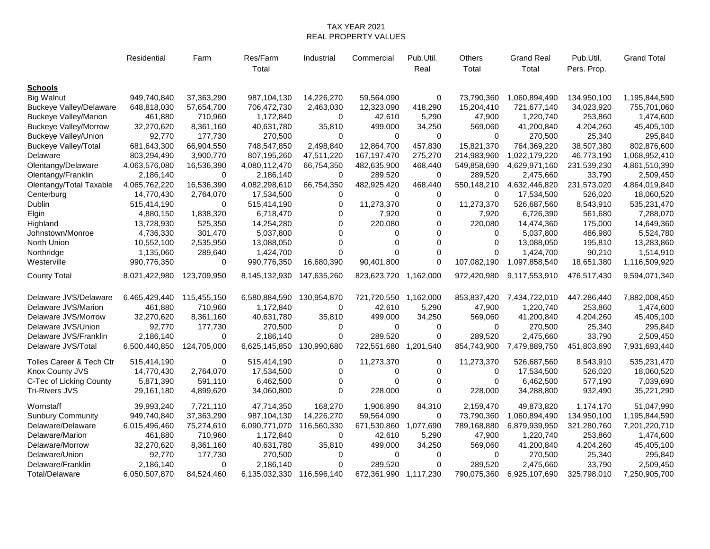## TAX YEAR 2021 REAL PROPERTY VALUES

|                                | Residential   | Farm        | Res/Farm<br>Total | Industrial  | Commercial            | Pub.Util.<br>Real | Others<br>Total | <b>Grand Real</b><br>Total | Pub.Util.<br>Pers. Prop. | <b>Grand Total</b> |
|--------------------------------|---------------|-------------|-------------------|-------------|-----------------------|-------------------|-----------------|----------------------------|--------------------------|--------------------|
| <b>Schools</b>                 |               |             |                   |             |                       |                   |                 |                            |                          |                    |
| <b>Big Walnut</b>              | 949,740,840   | 37,363,290  | 987,104,130       | 14,226,270  | 59,564,090            | $\mathbf 0$       | 73,790,360      | 1,060,894,490              | 134,950,100              | 1,195,844,590      |
| <b>Buckeye Valley/Delaware</b> | 648,818,030   | 57,654,700  | 706,472,730       | 2,463,030   | 12,323,090            | 418,290           | 15,204,410      | 721,677,140                | 34,023,920               | 755,701,060        |
| <b>Buckeye Valley/Marion</b>   | 461,880       | 710,960     | 1,172,840         | 0           | 42,610                | 5,290             | 47,900          | 1,220,740                  | 253,860                  | 1,474,600          |
| <b>Buckeye Valley/Morrow</b>   | 32,270,620    | 8,361,160   | 40,631,780        | 35,810      | 499,000               | 34,250            | 569,060         | 41,200,840                 | 4,204,260                | 45,405,100         |
| <b>Buckeye Valley/Union</b>    | 92,770        | 177,730     | 270,500           | $\Omega$    | $\Omega$              | $\Omega$          | $\Omega$        | 270,500                    | 25,340                   | 295,840            |
| <b>Buckeye Valley/Total</b>    | 681,643,300   | 66,904,550  | 748,547,850       | 2,498,840   | 12,864,700            | 457,830           | 15,821,370      | 764,369,220                | 38,507,380               | 802,876,600        |
| Delaware                       | 803,294,490   | 3,900,770   | 807,195,260       | 47,511,220  | 167,197,470           | 275,270           | 214,983,960     | 1,022,179,220              | 46,773,190               | 1,068,952,410      |
| Olentangy/Delaware             | 4,063,576,080 | 16,536,390  | 4,080,112,470     | 66,754,350  | 482,635,900           | 468,440           | 549,858,690     | 4,629,971,160              | 231,539,230              | 4,861,510,390      |
| Olentangy/Franklin             | 2,186,140     | 0           | 2,186,140         | 0           | 289,520               | 0                 | 289,520         | 2,475,660                  | 33,790                   | 2,509,450          |
| Olentangy/Total Taxable        | 4,065,762,220 | 16,536,390  | 4,082,298,610     | 66,754,350  | 482,925,420           | 468,440           | 550,148,210     | 4,632,446,820              | 231,573,020              | 4,864,019,840      |
| Centerburg                     | 14,770,430    | 2,764,070   | 17,534,500        | $\mathbf 0$ | $\Omega$              | $\mathbf 0$       | $\Omega$        | 17,534,500                 | 526,020                  | 18,060,520         |
| Dublin                         | 515,414,190   | $\Omega$    | 515,414,190       | $\Omega$    | 11,273,370            | $\Omega$          | 11,273,370      | 526,687,560                | 8,543,910                | 535,231,470        |
| Elgin                          | 4,880,150     | 1,838,320   | 6,718,470         | $\mathbf 0$ | 7,920                 | 0                 | 7,920           | 6,726,390                  | 561,680                  | 7,288,070          |
| Highland                       | 13,728,930    | 525,350     | 14,254,280        | $\Omega$    | 220,080               | $\Omega$          | 220,080         | 14,474,360                 | 175,000                  | 14,649,360         |
| Johnstown/Monroe               | 4,736,330     | 301,470     | 5,037,800         | $\Omega$    | $\Omega$              | $\Omega$          | $\Omega$        | 5,037,800                  | 486,980                  | 5,524,780          |
| North Union                    | 10,552,100    | 2,535,950   | 13,088,050        | $\Omega$    | $\Omega$              | $\Omega$          | $\Omega$        | 13,088,050                 | 195,810                  | 13,283,860         |
| Northridge                     | 1,135,060     | 289,640     | 1,424,700         | 0           | 0                     | $\mathbf 0$       | 0               | 1,424,700                  | 90,210                   | 1,514,910          |
| Westerville                    | 990,776,350   | 0           | 990,776,350       | 16,680,390  | 90,401,800            | $\Omega$          | 107,082,190     | 1,097,858,540              | 18,651,380               | 1,116,509,920      |
| <b>County Total</b>            | 8,021,422,980 | 123,709,950 | 8,145,132,930     | 147,635,260 | 823,623,720 1,162,000 |                   | 972,420,980     | 9,117,553,910              | 476,517,430              | 9,594,071,340      |
| Delaware JVS/Delaware          | 6,465,429,440 | 115,455,150 | 6,580,884,590     | 130,954,870 | 721,720,550           | 1,162,000         | 853,837,420     | 7,434,722,010              | 447,286,440              | 7,882,008,450      |
| Delaware JVS/Marion            | 461,880       | 710,960     | 1,172,840         | $\Omega$    | 42,610                | 5,290             | 47,900          | 1,220,740                  | 253,860                  | 1,474,600          |
| Delaware JVS/Morrow            | 32,270,620    | 8,361,160   | 40,631,780        | 35,810      | 499,000               | 34,250            | 569,060         | 41,200,840                 | 4,204,260                | 45,405,100         |
| Delaware JVS/Union             | 92,770        | 177,730     | 270,500           | 0           | $\Omega$              | 0                 | $\Omega$        | 270,500                    | 25,340                   | 295,840            |
| Delaware JVS/Franklin          | 2,186,140     | $\Omega$    | 2,186,140         | $\Omega$    | 289,520               | $\Omega$          | 289,520         | 2,475,660                  | 33,790                   | 2,509,450          |
| Delaware JVS/Total             | 6,500,440,850 | 124,705,000 | 6,625,145,850     | 130,990,680 | 722,551,680           | 1,201,540         | 854,743,900     | 7,479,889,750              | 451,803,690              | 7,931,693,440      |
| Tolles Career & Tech Ctr       | 515,414,190   | 0           | 515,414,190       | 0           | 11,273,370            | 0                 | 11,273,370      | 526,687,560                | 8,543,910                | 535,231,470        |
| Knox County JVS                | 14,770,430    | 2,764,070   | 17,534,500        | $\mathbf 0$ | 0                     | $\Omega$          | 0               | 17,534,500                 | 526,020                  | 18,060,520         |
| C-Tec of Licking County        | 5,871,390     | 591,110     | 6,462,500         | $\Omega$    | $\Omega$              | $\Omega$          | $\Omega$        | 6,462,500                  | 577,190                  | 7,039,690          |
| <b>Tri-Rivers JVS</b>          | 29,161,180    | 4,899,620   | 34,060,800        | $\Omega$    | 228,000               | $\Omega$          | 228,000         | 34,288,800                 | 932,490                  | 35,221,290         |
| Wornstaff                      | 39,993,240    | 7,721,110   | 47,714,350        | 168,270     | 1,906,890             | 84,310            | 2,159,470       | 49,873,820                 | 1,174,170                | 51,047,990         |
| <b>Sunbury Community</b>       | 949,740,840   | 37,363,290  | 987,104,130       | 14,226,270  | 59,564,090            | 0                 | 73,790,360      | 1,060,894,490              | 134,950,100              | 1,195,844,590      |
| Delaware/Delaware              | 6,015,496,460 | 75,274,610  | 6,090,771,070     | 116,560,330 | 671,530,860           | 1,077,690         | 789,168,880     | 6,879,939,950              | 321,280,760              | 7,201,220,710      |
| Delaware/Marion                | 461,880       | 710,960     | 1,172,840         | 0           | 42,610                | 5,290             | 47,900          | 1,220,740                  | 253,860                  | 1,474,600          |
| Delaware/Morrow                | 32,270,620    | 8,361,160   | 40,631,780        | 35,810      | 499,000               | 34,250            | 569,060         | 41,200,840                 | 4,204,260                | 45,405,100         |
| Delaware/Union                 | 92,770        | 177,730     | 270,500           | $\Omega$    | $\Omega$              | $\Omega$          | $\Omega$        | 270,500                    | 25,340                   | 295,840            |
| Delaware/Franklin              | 2,186,140     | $\Omega$    | 2,186,140         | $\Omega$    | 289,520               | $\Omega$          | 289,520         | 2,475,660                  | 33,790                   | 2,509,450          |
| Total/Delaware                 | 6,050,507,870 | 84,524,460  | 6,135,032,330     | 116,596,140 | 672,361,990           | 1,117,230         | 790,075,360     | 6,925,107,690              | 325,798,010              | 7,250,905,700      |